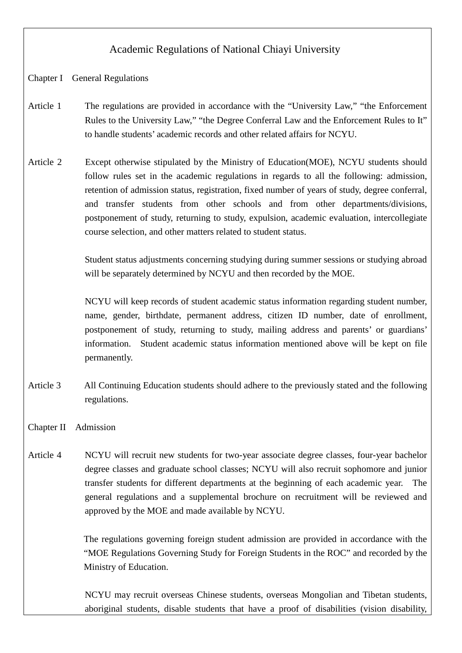# Academic Regulations of National Chiayi University

## Chapter I General Regulations

- Article 1 The regulations are provided in accordance with the "University Law," "the Enforcement Rules to the University Law," "the Degree Conferral Law and the Enforcement Rules to It" to handle students'academic records and other related affairs for NCYU.
- Article 2 Except otherwise stipulated by the Ministry of Education(MOE), NCYU students should follow rules set in the academic regulations in regards to all the following: admission, retention of admission status, registration, fixed number of years of study, degree conferral, and transfer students from other schools and from other departments/divisions, postponement of study, returning to study, expulsion, academic evaluation, intercollegiate course selection, and other matters related to student status.

Student status adjustments concerning studying during summer sessions or studying abroad will be separately determined by NCYU and then recorded by the MOE.

NCYU will keep records of student academic status information regarding student number, name, gender, birthdate, permanent address, citizen ID number, date of enrollment, postponement of study, returning to study, mailing address and parents' or guardians' information. Student academic status information mentioned above will be kept on file permanently.

Article 3 All Continuing Education students should adhere to the previously stated and the following regulations.

### Chapter II Admission

Article 4 NCYU will recruit new students for two-year associate degree classes, four-year bachelor degree classes and graduate school classes; NCYU will also recruit sophomore and junior transfer students for different departments at the beginning of each academic year. The general regulations and a supplemental brochure on recruitment will be reviewed and approved by the MOE and made available by NCYU.

> The regulations governing foreign student admission are provided in accordance with the "MOE Regulations Governing Study for Foreign Students in the ROC" and recorded by the Ministry of Education.

> NCYU may recruit overseas Chinese students, overseas Mongolian and Tibetan students, aboriginal students, disable students that have a proof of disabilities (vision disability,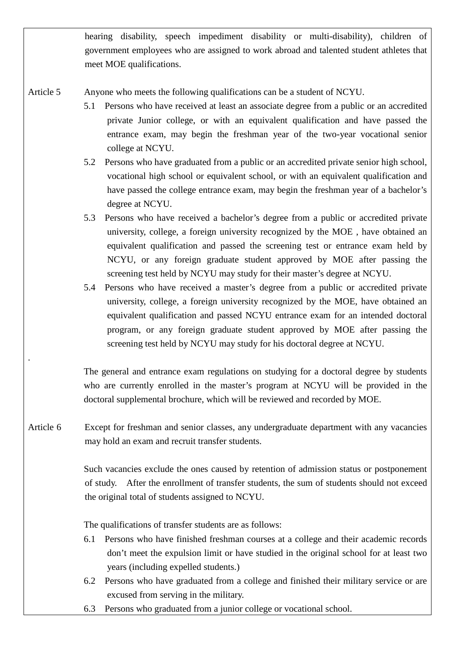hearing disability, speech impediment disability or multi-disability), children of government employees who are assigned to work abroad and talented student athletes that meet MOE qualifications.

Article 5 Anyone who meets the following qualifications can be a student of NCYU.

- 5.1 Persons who have received at least an associate degree from a public or an accredited private Junior college, or with an equivalent qualification and have passed the entrance exam, may begin the freshman year of the two-year vocational senior college at NCYU.
- 5.2 Persons who have graduated from a public or an accredited private senior high school, vocational high school or equivalent school, or with an equivalent qualification and have passed the college entrance exam, may begin the freshman year of a bachelor's degree at NCYU.
- 5.3 Persons who have received a bachelor's degree from a public or accredited private university, college, a foreign university recognized by the MOE , have obtained an equivalent qualification and passed the screening test or entrance exam held by NCYU, or any foreign graduate student approved by MOE after passing the screening test held by NCYU may study for their master's degree at NCYU.
- 5.4 Persons who have received a master's degree from a public or accredited private university, college, a foreign university recognized by the MOE, have obtained an equivalent qualification and passed NCYU entrance exam for an intended doctoral program, or any foreign graduate student approved by MOE after passing the screening test held by NCYU may study for his doctoral degree at NCYU.

The general and entrance exam regulations on studying for a doctoral degree by students who are currently enrolled in the master's program at NCYU will be provided in the doctoral supplemental brochure, which will be reviewed and recorded by MOE.

Article 6 Except for freshman and senior classes, any undergraduate department with any vacancies may hold an exam and recruit transfer students.

> Such vacancies exclude the ones caused by retention of admission status or postponement of study. After the enrollment of transfer students, the sum of students should not exceed the original total of students assigned to NCYU.

The qualifications of transfer students are as follows:

.

- 6.1 Persons who have finished freshman courses at a college and their academic records don't meet the expulsion limit or have studied in the original school for at least two years (including expelled students.)
- 6.2 Persons who have graduated from a college and finished their military service or are excused from serving in the military.
- 6.3 Persons who graduated from a junior college or vocational school.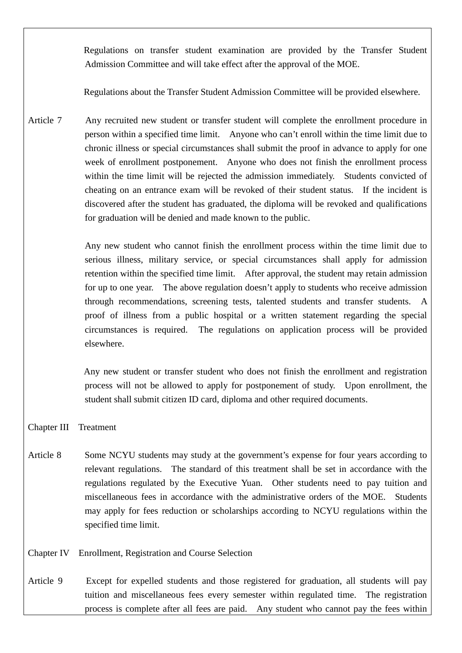Regulations on transfer student examination are provided by the Transfer Student Admission Committee and will take effect after the approval of the MOE.

Regulations about the Transfer Student Admission Committee will be provided elsewhere.

Article 7 Any recruited new student or transfer student will complete the enrollment procedure in person within a specified time limit. Anyone who can't enroll within the time limit due to chronic illness or special circumstances shall submit the proof in advance to apply for one week of enrollment postponement. Anyone who does not finish the enrollment process within the time limit will be rejected the admission immediately. Students convicted of cheating on an entrance exam will be revoked of their student status. If the incident is discovered after the student has graduated, the diploma will be revoked and qualifications for graduation will be denied and made known to the public.

> Any new student who cannot finish the enrollment process within the time limit due to serious illness, military service, or special circumstances shall apply for admission retention within the specified time limit. After approval, the student may retain admission for up to one year. The above regulation doesn't apply to students who receive admission through recommendations, screening tests, talented students and transfer students. A proof of illness from a public hospital or a written statement regarding the special circumstances is required. The regulations on application process will be provided elsewhere.

> Any new student or transfer student who does not finish the enrollment and registration process will not be allowed to apply for postponement of study. Upon enrollment, the student shall submit citizen ID card, diploma and other required documents.

#### Chapter III Treatment

- Article 8 Some NCYU students may study at the government's expense for four years according to relevant regulations. The standard of this treatment shall be set in accordance with the regulations regulated by the Executive Yuan. Other students need to pay tuition and miscellaneous fees in accordance with the administrative orders of the MOE. Students may apply for fees reduction or scholarships according to NCYU regulations within the specified time limit.
- Chapter IV Enrollment, Registration and Course Selection
- Article 9 Except for expelled students and those registered for graduation, all students will pay tuition and miscellaneous fees every semester within regulated time. The registration process is complete after all fees are paid. Any student who cannot pay the fees within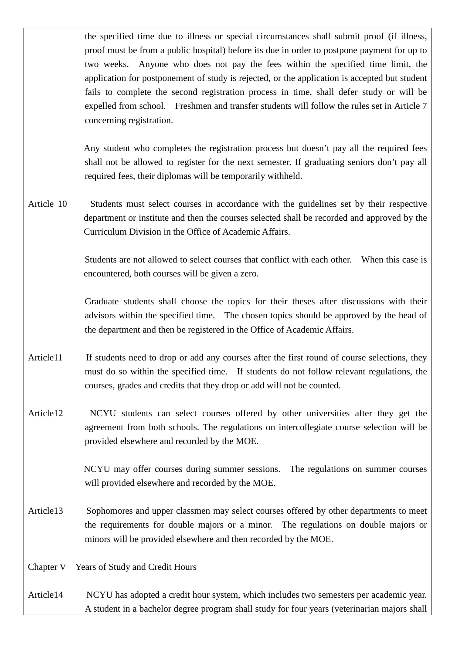the specified time due to illness or special circumstances shall submit proof (if illness, proof must be from a public hospital) before its due in order to postpone payment for up to two weeks. Anyone who does not pay the fees within the specified time limit, the application for postponement of study is rejected, or the application is accepted but student fails to complete the second registration process in time, shall defer study or will be expelled from school. Freshmen and transfer students will follow the rules set in Article 7 concerning registration.

Any student who completes the registration process but doesn't pay all the required fees shall not be allowed to register for the next semester. If graduating seniors don't pay all required fees, their diplomas will be temporarily withheld.

Article 10 Students must select courses in accordance with the guidelines set by their respective department or institute and then the courses selected shall be recorded and approved by the Curriculum Division in the Office of Academic Affairs.

> Students are not allowed to select courses that conflict with each other. When this case is encountered, both courses will be given a zero.

> Graduate students shall choose the topics for their theses after discussions with their advisors within the specified time. The chosen topics should be approved by the head of the department and then be registered in the Office of Academic Affairs.

- Article11 If students need to drop or add any courses after the first round of course selections, they must do so within the specified time. If students do not follow relevant regulations, the courses, grades and credits that they drop or add will not be counted.
- Article12 NCYU students can select courses offered by other universities after they get the agreement from both schools. The regulations on intercollegiate course selection will be provided elsewhere and recorded by the MOE.

NCYU may offer courses during summer sessions. The regulations on summer courses will provided elsewhere and recorded by the MOE.

Article13 Sophomores and upper classmen may select courses offered by other departments to meet the requirements for double majors or a minor. The regulations on double majors or minors will be provided elsewhere and then recorded by the MOE.

Chapter V Years of Study and Credit Hours

Article14 NCYU has adopted a credit hour system, which includes two semesters per academic year. A student in a bachelor degree program shall study for four years (veterinarian majors shall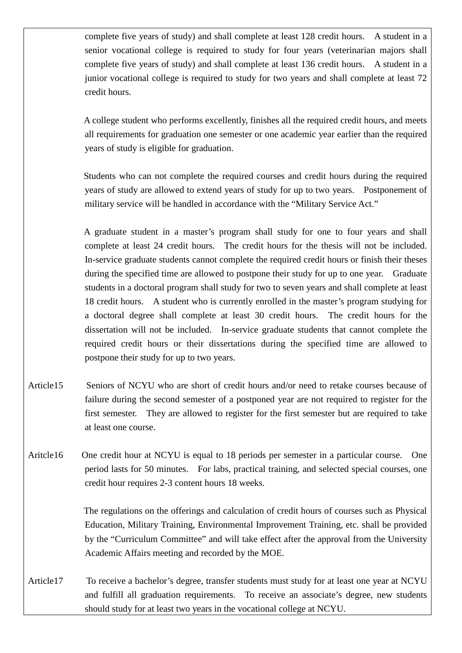complete five years of study) and shall complete at least 128 credit hours. A student in a senior vocational college is required to study for four years (veterinarian majors shall complete five years of study) and shall complete at least 136 credit hours. A student in a junior vocational college is required to study for two years and shall complete at least 72 credit hours.

A college student who performs excellently, finishes all the required credit hours, and meets all requirements for graduation one semester or one academic year earlier than the required years of study is eligible for graduation.

Students who can not complete the required courses and credit hours during the required years of study are allowed to extend years of study for up to two years. Postponement of military service will be handled in accordance with the "Military Service Act."

A graduate student in a master's program shall study for one to four years and shall complete at least 24 credit hours. The credit hours for the thesis will not be included. In-service graduate students cannot complete the required credit hours or finish their theses during the specified time are allowed to postpone their study for up to one year. Graduate students in a doctoral program shall study for two to seven years and shall complete at least 18 credit hours. A student who is currently enrolled in the master's program studying for a doctoral degree shall complete at least 30 credit hours. The credit hours for the dissertation will not be included. In-service graduate students that cannot complete the required credit hours or their dissertations during the specified time are allowed to postpone their study for up to two years.

- Article15 Seniors of NCYU who are short of credit hours and/or need to retake courses because of failure during the second semester of a postponed year are not required to register for the first semester. They are allowed to register for the first semester but are required to take at least one course.
- Aritcle16 One credit hour at NCYU is equal to 18 periods per semester in a particular course. One period lasts for 50 minutes. For labs, practical training, and selected special courses, one credit hour requires 2-3 content hours 18 weeks.

The regulations on the offerings and calculation of credit hours of courses such as Physical Education, Military Training, Environmental Improvement Training, etc. shall be provided by the "Curriculum Committee" and will take effect after the approval from the University Academic Affairs meeting and recorded by the MOE.

Article17 To receive a bachelor's degree, transfer students must study for at least one year at NCYU and fulfill all graduation requirements. To receive an associate's degree, new students should study for at least two years in the vocational college at NCYU.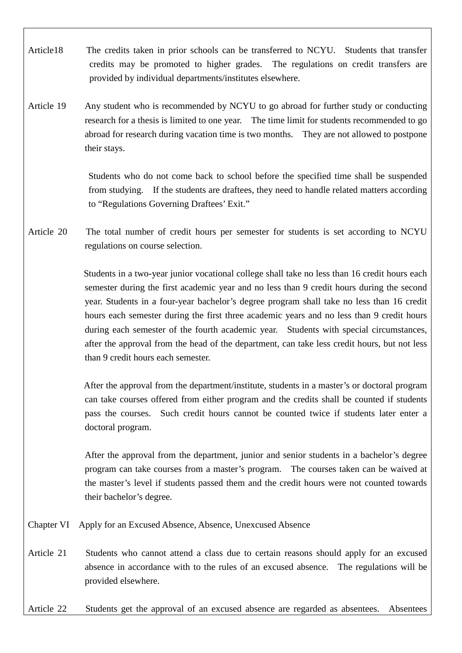- Article18 The credits taken in prior schools can be transferred to NCYU. Students that transfer credits may be promoted to higher grades. The regulations on credit transfers are provided by individual departments/institutes elsewhere.
- Article 19 Any student who is recommended by NCYU to go abroad for further study or conducting research for a thesis is limited to one year. The time limit for students recommended to go abroad for research during vacation time is two months. They are not allowed to postpone their stays.

Students who do not come back to school before the specified time shall be suspended from studying. If the students are draftees, they need to handle related matters according to "Regulations Governing Draftees'Exit."

Article 20 The total number of credit hours per semester for students is set according to NCYU regulations on course selection.

> Students in a two-year junior vocational college shall take no less than 16 credit hours each semester during the first academic year and no less than 9 credit hours during the second year. Students in a four-year bachelor's degree program shall take no less than 16 credit hours each semester during the first three academic years and no less than 9 credit hours during each semester of the fourth academic year. Students with special circumstances, after the approval from the head of the department, can take less credit hours, but not less than 9 credit hours each semester.

> After the approval from the department/institute, students in a master's or doctoral program can take courses offered from either program and the credits shall be counted if students pass the courses. Such credit hours cannot be counted twice if students later enter a doctoral program.

> After the approval from the department, junior and senior students in a bachelor's degree program can take courses from a master's program. The courses taken can be waived at the master's level if students passed them and the credit hours were not counted towards their bachelor's degree.

- Chapter VI Apply for an Excused Absence, Absence, Unexcused Absence
- Article 21 Students who cannot attend a class due to certain reasons should apply for an excused absence in accordance with to the rules of an excused absence. The regulations will be provided elsewhere.

Article 22 Students get the approval of an excused absence are regarded as absentees. Absentees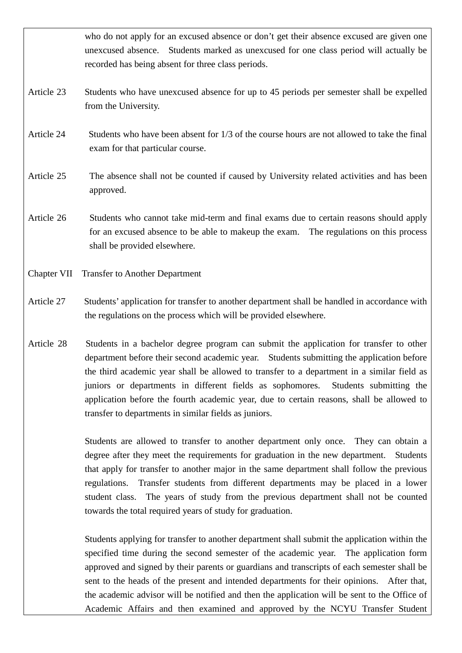who do not apply for an excused absence or don't get their absence excused are given one unexcused absence. Students marked as unexcused for one class period will actually be recorded has being absent for three class periods. Article 23 Students who have unexcused absence for up to 45 periods per semester shall be expelled from the University. Article 24 Students who have been absent for 1/3 of the course hours are not allowed to take the final exam for that particular course. Article 25 The absence shall not be counted if caused by University related activities and has been approved. Article 26 Students who cannot take mid-term and final exams due to certain reasons should apply for an excused absence to be able to makeup the exam. The regulations on this process shall be provided elsewhere.

- Chapter VII Transfer to Another Department
- Article 27 Students'application for transfer to another department shall be handled in accordance with the regulations on the process which will be provided elsewhere.
- Article 28 Students in a bachelor degree program can submit the application for transfer to other department before their second academic year. Students submitting the application before the third academic year shall be allowed to transfer to a department in a similar field as juniors or departments in different fields as sophomores. Students submitting the application before the fourth academic year, due to certain reasons, shall be allowed to transfer to departments in similar fields as juniors.

Students are allowed to transfer to another department only once. They can obtain a degree after they meet the requirements for graduation in the new department. Students that apply for transfer to another major in the same department shall follow the previous regulations. Transfer students from different departments may be placed in a lower student class. The years of study from the previous department shall not be counted towards the total required years of study for graduation.

Students applying for transfer to another department shall submit the application within the specified time during the second semester of the academic year. The application form approved and signed by their parents or guardians and transcripts of each semester shall be sent to the heads of the present and intended departments for their opinions. After that, the academic advisor will be notified and then the application will be sent to the Office of Academic Affairs and then examined and approved by the NCYU Transfer Student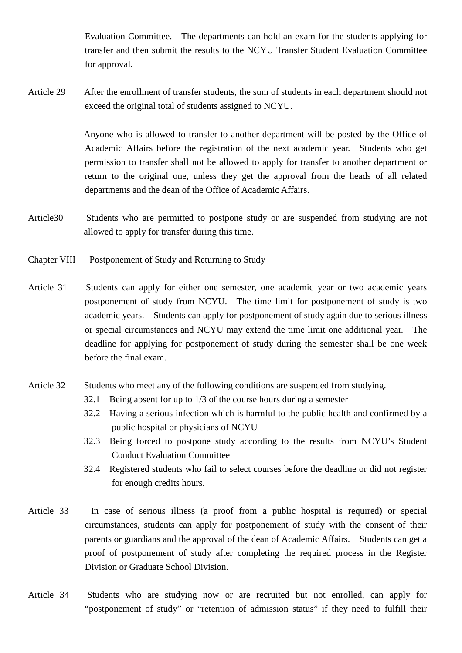Evaluation Committee. The departments can hold an exam for the students applying for transfer and then submit the results to the NCYU Transfer Student Evaluation Committee for approval.

Article 29 After the enrollment of transfer students, the sum of students in each department should not exceed the original total of students assigned to NCYU.

> Anyone who is allowed to transfer to another department will be posted by the Office of Academic Affairs before the registration of the next academic year. Students who get permission to transfer shall not be allowed to apply for transfer to another department or return to the original one, unless they get the approval from the heads of all related departments and the dean of the Office of Academic Affairs.

- Article30 Students who are permitted to postpone study or are suspended from studying are not allowed to apply for transfer during this time.
- Chapter VIII Postponement of Study and Returning to Study
- Article 31 Students can apply for either one semester, one academic year or two academic years postponement of study from NCYU. The time limit for postponement of study is two academic years. Students can apply for postponement of study again due to serious illness or special circumstances and NCYU may extend the time limit one additional year. The deadline for applying for postponement of study during the semester shall be one week before the final exam.
- Article 32 Students who meet any of the following conditions are suspended from studying.
	- 32.1 Being absent for up to 1/3 of the course hours during a semester
	- 32.2 Having a serious infection which is harmful to the public health and confirmed by a public hospital or physicians of NCYU
	- 32.3 Being forced to postpone study according to the results from NCYU's Student Conduct Evaluation Committee
	- 32.4 Registered students who fail to select courses before the deadline or did not register for enough credits hours.
- Article 33 In case of serious illness (a proof from a public hospital is required) or special circumstances, students can apply for postponement of study with the consent of their parents or guardians and the approval of the dean of Academic Affairs. Students can get a proof of postponement of study after completing the required process in the Register Division or Graduate School Division.
- Article 34 Students who are studying now or are recruited but not enrolled, can apply for "postponement of study" or "retention of admission status" if they need to fulfill their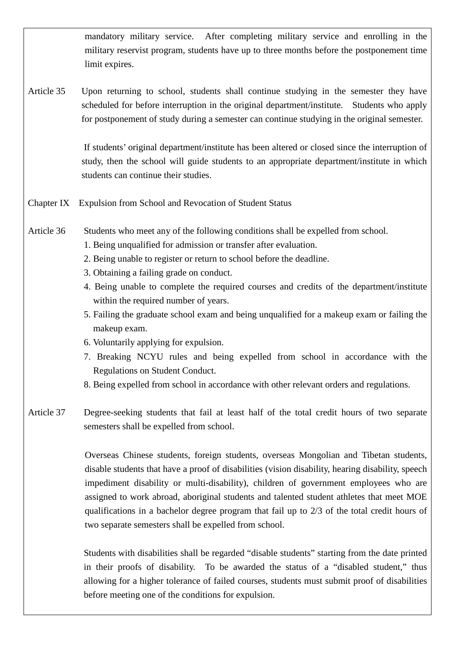mandatory military service. After completing military service and enrolling in the military reservist program, students have up to three months before the postponement time limit expires.

Article 35 Upon returning to school, students shall continue studying in the semester they have scheduled for before interruption in the original department/institute. Students who apply for postponement of study during a semester can continue studying in the original semester.

> If students'original department/institute has been altered or closed since the interruption of study, then the school will guide students to an appropriate department/institute in which students can continue their studies.

- Chapter IX Expulsion from School and Revocation of Student Status
- Article 36 Students who meet any of the following conditions shall be expelled from school.
	- 1. Being unqualified for admission or transfer after evaluation.
	- 2. Being unable to register or return to school before the deadline.
	- 3. Obtaining a failing grade on conduct.
	- 4. Being unable to complete the required courses and credits of the department/institute within the required number of years.
	- 5. Failing the graduate school exam and being unqualified for a makeup exam or failing the makeup exam.
	- 6. Voluntarily applying for expulsion.
	- 7. Breaking NCYU rules and being expelled from school in accordance with the Regulations on Student Conduct.
	- 8. Being expelled from school in accordance with other relevant orders and regulations.
- Article 37 Degree-seeking students that fail at least half of the total credit hours of two separate semesters shall be expelled from school.

Overseas Chinese students, foreign students, overseas Mongolian and Tibetan students, disable students that have a proof of disabilities (vision disability, hearing disability, speech impediment disability or multi-disability), children of government employees who are assigned to work abroad, aboriginal students and talented student athletes that meet MOE qualifications in a bachelor degree program that fail up to 2/3 of the total credit hours of two separate semesters shall be expelled from school.

Students with disabilities shall be regarded "disable students" starting from the date printed in their proofs of disability. To be awarded the status of a "disabled student," thus allowing for a higher tolerance of failed courses, students must submit proof of disabilities before meeting one of the conditions for expulsion.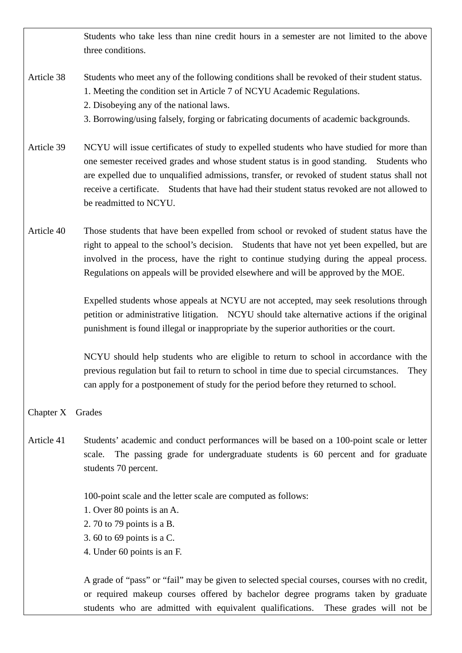Students who take less than nine credit hours in a semester are not limited to the above three conditions.

- Article 38 Students who meet any of the following conditions shall be revoked of their student status.
	- 1. Meeting the condition set in Article 7 of NCYU Academic Regulations.
	- 2. Disobeying any of the national laws.
	- 3. Borrowing/using falsely, forging or fabricating documents of academic backgrounds.
- Article 39 NCYU will issue certificates of study to expelled students who have studied for more than one semester received grades and whose student status is in good standing. Students who are expelled due to unqualified admissions, transfer, or revoked of student status shall not receive a certificate. Students that have had their student status revoked are not allowed to be readmitted to NCYU.
- Article 40 Those students that have been expelled from school or revoked of student status have the right to appeal to the school's decision. Students that have not yet been expelled, but are involved in the process, have the right to continue studying during the appeal process. Regulations on appeals will be provided elsewhere and will be approved by the MOE.

Expelled students whose appeals at NCYU are not accepted, may seek resolutions through petition or administrative litigation. NCYU should take alternative actions if the original punishment is found illegal or inappropriate by the superior authorities or the court.

NCYU should help students who are eligible to return to school in accordance with the previous regulation but fail to return to school in time due to special circumstances. They can apply for a postponement of study for the period before they returned to school.

### Chapter X Grades

Article 41 Students'academic and conduct performances will be based on a 100-point scale or letter scale. The passing grade for undergraduate students is 60 percent and for graduate students 70 percent.

100-point scale and the letter scale are computed as follows:

- 1. Over 80 points is an A.
- 2. 70 to 79 points is a B.
- 3. 60 to 69 points is a C.
- 4. Under 60 points is an F.

A grade of "pass" or "fail" may be given to selected special courses, courses with no credit, or required makeup courses offered by bachelor degree programs taken by graduate students who are admitted with equivalent qualifications. These grades will not be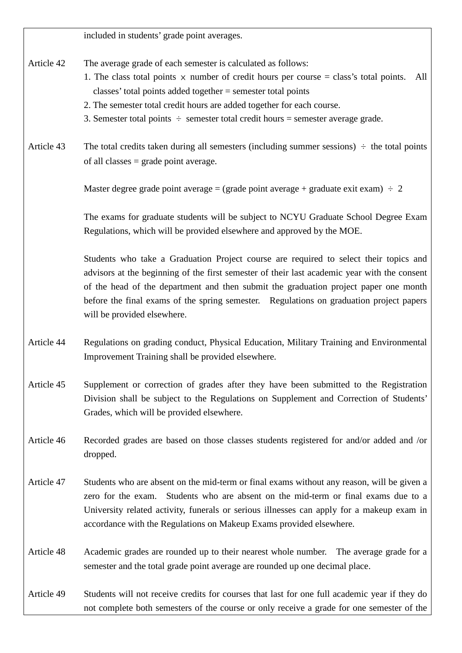included in students'grade point averages.

Article 42 The average grade of each semester is calculated as follows:

- 1. The class total points  $\times$  number of credit hours per course = class's total points. All classes'total points added together = semester total points
- 2. The semester total credit hours are added together for each course.
- 3. Semester total points  $\div$  semester total credit hours = semester average grade.
- Article 43 The total credits taken during all semesters (including summer sessions)  $\div$  the total points of all classes = grade point average.

Master degree grade point average = (grade point average + graduate exit exam)  $\div$  2

The exams for graduate students will be subject to NCYU Graduate School Degree Exam Regulations, which will be provided elsewhere and approved by the MOE.

Students who take a Graduation Project course are required to select their topics and advisors at the beginning of the first semester of their last academic year with the consent of the head of the department and then submit the graduation project paper one month before the final exams of the spring semester. Regulations on graduation project papers will be provided elsewhere.

- Article 44 Regulations on grading conduct, Physical Education, Military Training and Environmental Improvement Training shall be provided elsewhere.
- Article 45 Supplement or correction of grades after they have been submitted to the Registration Division shall be subject to the Regulations on Supplement and Correction of Students' Grades, which will be provided elsewhere.
- Article 46 Recorded grades are based on those classes students registered for and/or added and /or dropped.
- Article 47 Students who are absent on the mid-term or final exams without any reason, will be given a zero for the exam. Students who are absent on the mid-term or final exams due to a University related activity, funerals or serious illnesses can apply for a makeup exam in accordance with the Regulations on Makeup Exams provided elsewhere.
- Article 48 Academic grades are rounded up to their nearest whole number. The average grade for a semester and the total grade point average are rounded up one decimal place.

Article 49 Students will not receive credits for courses that last for one full academic year if they do not complete both semesters of the course or only receive a grade for one semester of the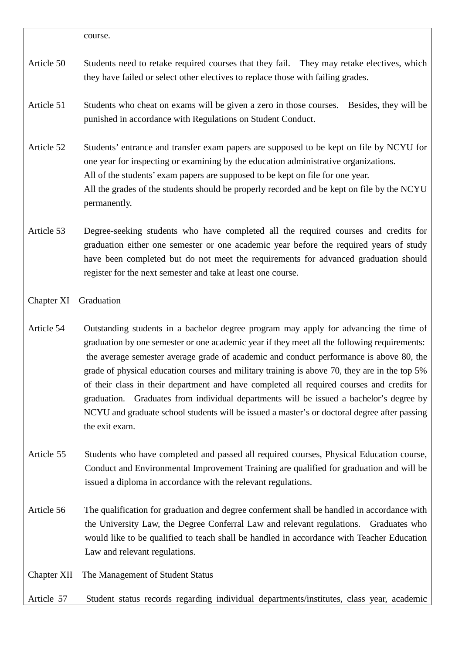course.

- Article 50 Students need to retake required courses that they fail. They may retake electives, which they have failed or select other electives to replace those with failing grades.
- Article 51 Students who cheat on exams will be given a zero in those courses. Besides, they will be punished in accordance with Regulations on Student Conduct.
- Article 52 Students' entrance and transfer exam papers are supposed to be kept on file by NCYU for one year for inspecting or examining by the education administrative organizations. All of the students' exam papers are supposed to be kept on file for one year. All the grades of the students should be properly recorded and be kept on file by the NCYU permanently.
- Article 53 Degree-seeking students who have completed all the required courses and credits for graduation either one semester or one academic year before the required years of study have been completed but do not meet the requirements for advanced graduation should register for the next semester and take at least one course.
- Chapter XI Graduation
- Article 54 Outstanding students in a bachelor degree program may apply for advancing the time of graduation by one semester or one academic year if they meet all the following requirements: the average semester average grade of academic and conduct performance is above 80, the grade of physical education courses and military training is above 70, they are in the top 5% of their class in their department and have completed all required courses and credits for graduation. Graduates from individual departments will be issued a bachelor's degree by NCYU and graduate school students will be issued a master's or doctoral degree after passing the exit exam.
- Article 55 Students who have completed and passed all required courses, Physical Education course, Conduct and Environmental Improvement Training are qualified for graduation and will be issued a diploma in accordance with the relevant regulations.
- Article 56 The qualification for graduation and degree conferment shall be handled in accordance with the University Law, the Degree Conferral Law and relevant regulations. Graduates who would like to be qualified to teach shall be handled in accordance with Teacher Education Law and relevant regulations.

Chapter XII The Management of Student Status

Article 57 Student status records regarding individual departments/institutes, class year, academic